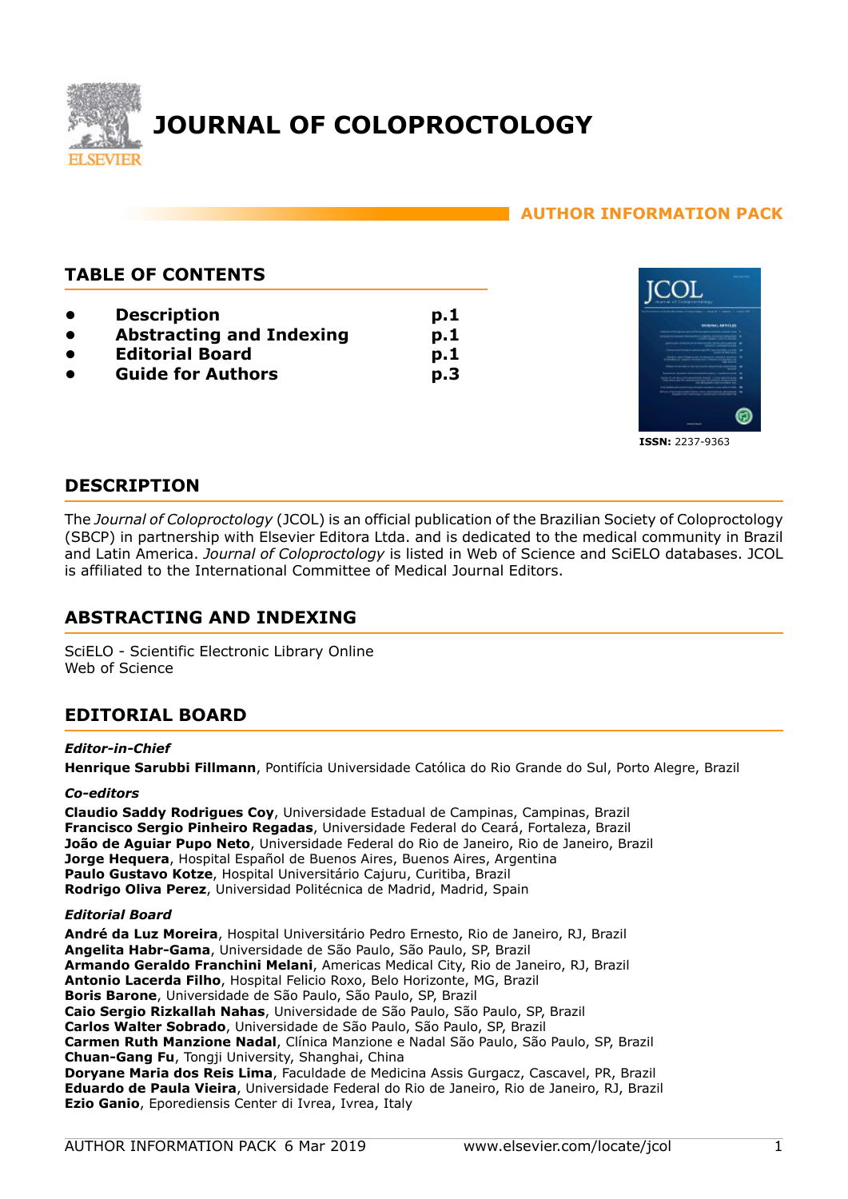

# **AUTHOR INFORMATION PACK**

# **TABLE OF CONTENTS**

- **[Description](#page-0-0)**
- **[Abstracting and Indexing](#page-0-1)**
- **[Editorial Board](#page-0-2)**
- **[Guide for Authors](#page-2-0)**



<span id="page-0-0"></span>**DESCRIPTION**

The *Journal of Coloproctology* (JCOL) is an official publication of the Brazilian Society of Coloproctology (SBCP) in partnership with Elsevier Editora Ltda. and is dedicated to the medical community in Brazil and Latin America. *Journal of Coloproctology* is listed in Web of Science and SciELO databases. JCOL is affiliated to the International Committee of Medical Journal Editors.

**p.1 p.1 p.1 p.3**

# <span id="page-0-1"></span>**ABSTRACTING AND INDEXING**

SciELO - Scientific Electronic Library Online Web of Science

# <span id="page-0-2"></span>**EDITORIAL BOARD**

### *Editor-in-Chief*

**Henrique Sarubbi Fillmann**, Pontifícia Universidade Católica do Rio Grande do Sul, Porto Alegre, Brazil

### *Co-editors*

**Claudio Saddy Rodrigues Coy**, Universidade Estadual de Campinas, Campinas, Brazil **Francisco Sergio Pinheiro Regadas**, Universidade Federal do Ceará, Fortaleza, Brazil **João de Aguiar Pupo Neto**, Universidade Federal do Rio de Janeiro, Rio de Janeiro, Brazil **Jorge Hequera**, Hospital Español de Buenos Aires, Buenos Aires, Argentina **Paulo Gustavo Kotze**, Hospital Universitário Cajuru, Curitiba, Brazil **Rodrigo Oliva Perez**, Universidad Politécnica de Madrid, Madrid, Spain

### *Editorial Board*

**André da Luz Moreira**, Hospital Universitário Pedro Ernesto, Rio de Janeiro, RJ, Brazil **Angelita Habr-Gama**, Universidade de São Paulo, São Paulo, SP, Brazil **Armando Geraldo Franchini Melani**, Americas Medical City, Rio de Janeiro, RJ, Brazil **Antonio Lacerda Filho**, Hospital Felicio Roxo, Belo Horizonte, MG, Brazil **Boris Barone**, Universidade de São Paulo, São Paulo, SP, Brazil **Caio Sergio Rizkallah Nahas**, Universidade de São Paulo, São Paulo, SP, Brazil **Carlos Walter Sobrado**, Universidade de São Paulo, São Paulo, SP, Brazil **Carmen Ruth Manzione Nadal**, Clínica Manzione e Nadal São Paulo, São Paulo, SP, Brazil **Chuan-Gang Fu**, Tongji University, Shanghai, China **Doryane Maria dos Reis Lima**, Faculdade de Medicina Assis Gurgacz, Cascavel, PR, Brazil **Eduardo de Paula Vieira**, Universidade Federal do Rio de Janeiro, Rio de Janeiro, RJ, Brazil **Ezio Ganio**, Eporediensis Center di Ivrea, Ivrea, Italy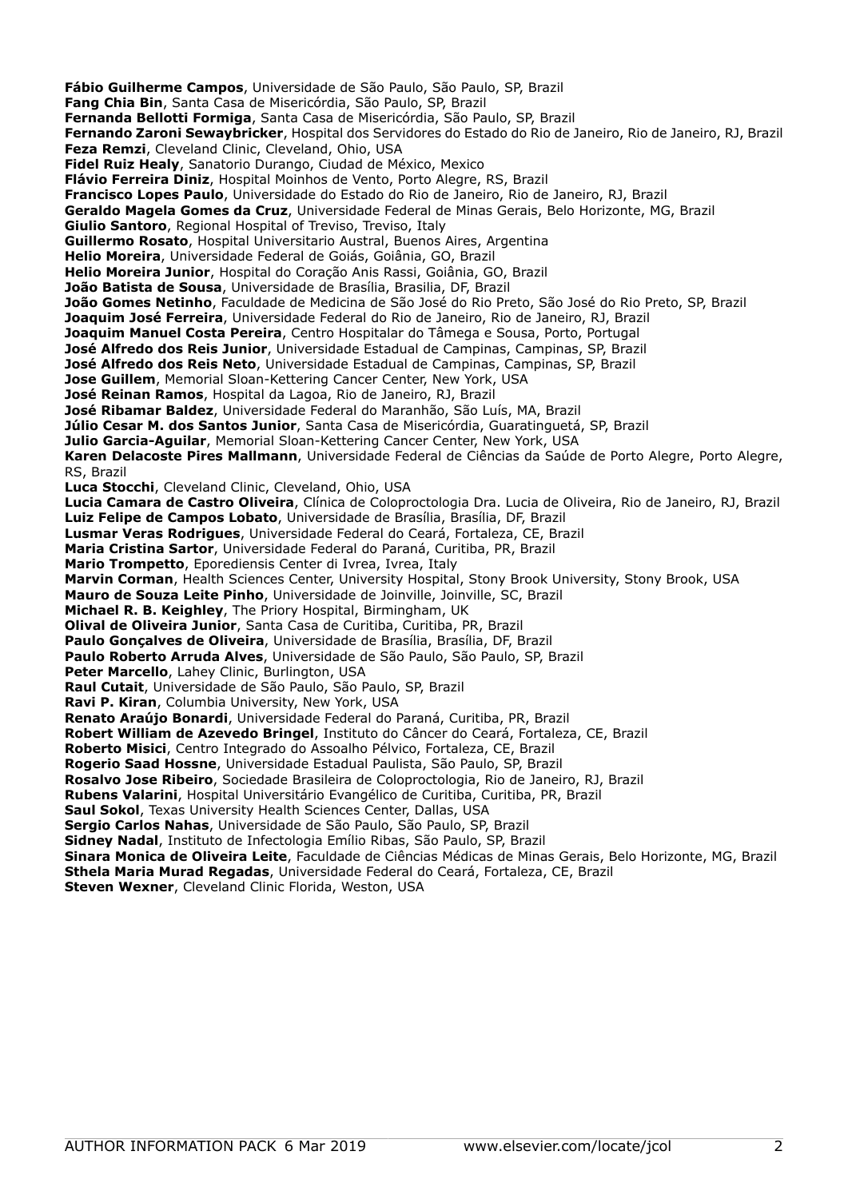**Fábio Guilherme Campos**, Universidade de São Paulo, São Paulo, SP, Brazil **Fang Chia Bin**, Santa Casa de Misericórdia, São Paulo, SP, Brazil **Fernanda Bellotti Formiga**, Santa Casa de Misericórdia, São Paulo, SP, Brazil **Fernando Zaroni Sewaybricker**, Hospital dos Servidores do Estado do Rio de Janeiro, Rio de Janeiro, RJ, Brazil **Feza Remzi**, Cleveland Clinic, Cleveland, Ohio, USA **Fidel Ruiz Healy**, Sanatorio Durango, Ciudad de México, Mexico **Flávio Ferreira Diniz**, Hospital Moinhos de Vento, Porto Alegre, RS, Brazil **Francisco Lopes Paulo**, Universidade do Estado do Rio de Janeiro, Rio de Janeiro, RJ, Brazil **Geraldo Magela Gomes da Cruz**, Universidade Federal de Minas Gerais, Belo Horizonte, MG, Brazil **Giulio Santoro**, Regional Hospital of Treviso, Treviso, Italy **Guillermo Rosato**, Hospital Universitario Austral, Buenos Aires, Argentina **Helio Moreira**, Universidade Federal de Goiás, Goiânia, GO, Brazil **Helio Moreira Junior**, Hospital do Coração Anis Rassi, Goiânia, GO, Brazil **João Batista de Sousa**, Universidade de Brasília, Brasilia, DF, Brazil **João Gomes Netinho**, Faculdade de Medicina de São José do Rio Preto, São José do Rio Preto, SP, Brazil **Joaquim José Ferreira**, Universidade Federal do Rio de Janeiro, Rio de Janeiro, RJ, Brazil **Joaquim Manuel Costa Pereira**, Centro Hospitalar do Tâmega e Sousa, Porto, Portugal **José Alfredo dos Reis Junior**, Universidade Estadual de Campinas, Campinas, SP, Brazil **José Alfredo dos Reis Neto**, Universidade Estadual de Campinas, Campinas, SP, Brazil **Jose Guillem**, Memorial Sloan-Kettering Cancer Center, New York, USA **José Reinan Ramos**, Hospital da Lagoa, Rio de Janeiro, RJ, Brazil **José Ribamar Baldez**, Universidade Federal do Maranhão, São Luís, MA, Brazil **Júlio Cesar M. dos Santos Junior**, Santa Casa de Misericórdia, Guaratinguetá, SP, Brazil **Julio Garcia-Aguilar**, Memorial Sloan-Kettering Cancer Center, New York, USA **Karen Delacoste Pires Mallmann**, Universidade Federal de Ciências da Saúde de Porto Alegre, Porto Alegre, RS, Brazil **Luca Stocchi**, Cleveland Clinic, Cleveland, Ohio, USA **Lucia Camara de Castro Oliveira**, Clínica de Coloproctologia Dra. Lucia de Oliveira, Rio de Janeiro, RJ, Brazil **Luiz Felipe de Campos Lobato**, Universidade de Brasília, Brasília, DF, Brazil **Lusmar Veras Rodrigues**, Universidade Federal do Ceará, Fortaleza, CE, Brazil **Maria Cristina Sartor**, Universidade Federal do Paraná, Curitiba, PR, Brazil **Mario Trompetto**, Eporediensis Center di Ivrea, Ivrea, Italy **Marvin Corman**, Health Sciences Center, University Hospital, Stony Brook University, Stony Brook, USA **Mauro de Souza Leite Pinho**, Universidade de Joinville, Joinville, SC, Brazil **Michael R. B. Keighley**, The Priory Hospital, Birmingham, UK **Olival de Oliveira Junior**, Santa Casa de Curitiba, Curitiba, PR, Brazil **Paulo Gonçalves de Oliveira**, Universidade de Brasília, Brasília, DF, Brazil **Paulo Roberto Arruda Alves**, Universidade de São Paulo, São Paulo, SP, Brazil **Peter Marcello**, Lahey Clinic, Burlington, USA **Raul Cutait**, Universidade de São Paulo, São Paulo, SP, Brazil **Ravi P. Kiran**, Columbia University, New York, USA **Renato Araújo Bonardi**, Universidade Federal do Paraná, Curitiba, PR, Brazil **Robert William de Azevedo Bringel**, Instituto do Câncer do Ceará, Fortaleza, CE, Brazil **Roberto Misici**, Centro Integrado do Assoalho Pélvico, Fortaleza, CE, Brazil **Rogerio Saad Hossne**, Universidade Estadual Paulista, São Paulo, SP, Brazil **Rosalvo Jose Ribeiro**, Sociedade Brasileira de Coloproctologia, Rio de Janeiro, RJ, Brazil **Rubens Valarini**, Hospital Universitário Evangélico de Curitiba, Curitiba, PR, Brazil **Saul Sokol**, Texas University Health Sciences Center, Dallas, USA **Sergio Carlos Nahas**, Universidade de São Paulo, São Paulo, SP, Brazil **Sidney Nadal**, Instituto de Infectologia Emílio Ribas, São Paulo, SP, Brazil **Sinara Monica de Oliveira Leite**, Faculdade de Ciências Médicas de Minas Gerais, Belo Horizonte, MG, Brazil **Sthela Maria Murad Regadas**, Universidade Federal do Ceará, Fortaleza, CE, Brazil **Steven Wexner**, Cleveland Clinic Florida, Weston, USA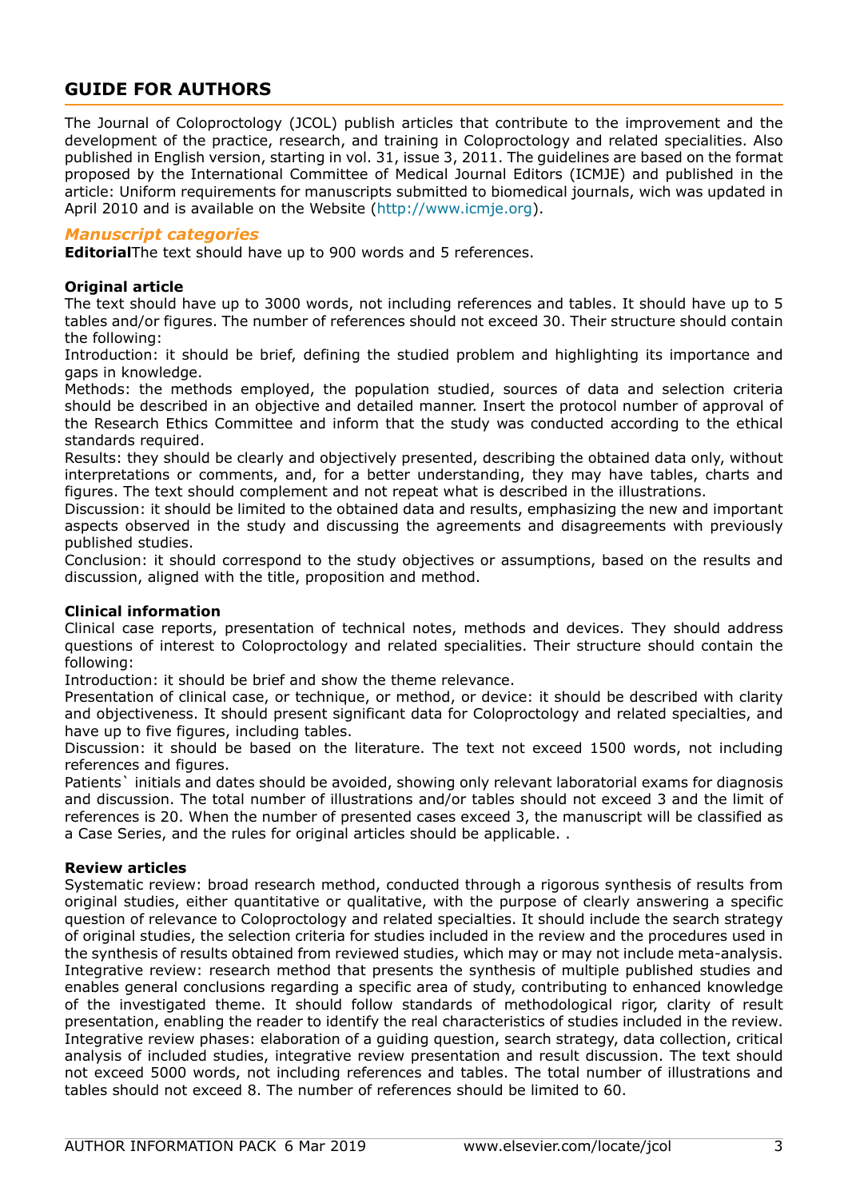# <span id="page-2-0"></span>**GUIDE FOR AUTHORS**

The Journal of Coloproctology (JCOL) publish articles that contribute to the improvement and the development of the practice, research, and training in Coloproctology and related specialities. Also published in English version, starting in vol. 31, issue 3, 2011. The guidelines are based on the format proposed by the International Committee of Medical Journal Editors (ICMJE) and published in the article: Uniform requirements for manuscripts submitted to biomedical journals, wich was updated in April 2010 and is available on the Website (http://www.icmje.org).

### *Manuscript categories*

**Editorial**The text should have up to 900 words and 5 references.

### **Original article**

The text should have up to 3000 words, not including references and tables. It should have up to 5 tables and/or figures. The number of references should not exceed 30. Their structure should contain the following:

Introduction: it should be brief, defining the studied problem and highlighting its importance and gaps in knowledge.

Methods: the methods employed, the population studied, sources of data and selection criteria should be described in an objective and detailed manner. Insert the protocol number of approval of the Research Ethics Committee and inform that the study was conducted according to the ethical standards required.

Results: they should be clearly and objectively presented, describing the obtained data only, without interpretations or comments, and, for a better understanding, they may have tables, charts and figures. The text should complement and not repeat what is described in the illustrations.

Discussion: it should be limited to the obtained data and results, emphasizing the new and important aspects observed in the study and discussing the agreements and disagreements with previously published studies.

Conclusion: it should correspond to the study objectives or assumptions, based on the results and discussion, aligned with the title, proposition and method.

### **Clinical information**

Clinical case reports, presentation of technical notes, methods and devices. They should address questions of interest to Coloproctology and related specialities. Their structure should contain the following:

Introduction: it should be brief and show the theme relevance.

Presentation of clinical case, or technique, or method, or device: it should be described with clarity and objectiveness. It should present significant data for Coloproctology and related specialties, and have up to five figures, including tables.

Discussion: it should be based on the literature. The text not exceed 1500 words, not including references and figures.

Patients` initials and dates should be avoided, showing only relevant laboratorial exams for diagnosis and discussion. The total number of illustrations and/or tables should not exceed 3 and the limit of references is 20. When the number of presented cases exceed 3, the manuscript will be classified as a Case Series, and the rules for original articles should be applicable. .

### **Review articles**

Systematic review: broad research method, conducted through a rigorous synthesis of results from original studies, either quantitative or qualitative, with the purpose of clearly answering a specific question of relevance to Coloproctology and related specialties. It should include the search strategy of original studies, the selection criteria for studies included in the review and the procedures used in the synthesis of results obtained from reviewed studies, which may or may not include meta-analysis. Integrative review: research method that presents the synthesis of multiple published studies and enables general conclusions regarding a specific area of study, contributing to enhanced knowledge of the investigated theme. It should follow standards of methodological rigor, clarity of result presentation, enabling the reader to identify the real characteristics of studies included in the review. Integrative review phases: elaboration of a guiding question, search strategy, data collection, critical analysis of included studies, integrative review presentation and result discussion. The text should not exceed 5000 words, not including references and tables. The total number of illustrations and tables should not exceed 8. The number of references should be limited to 60.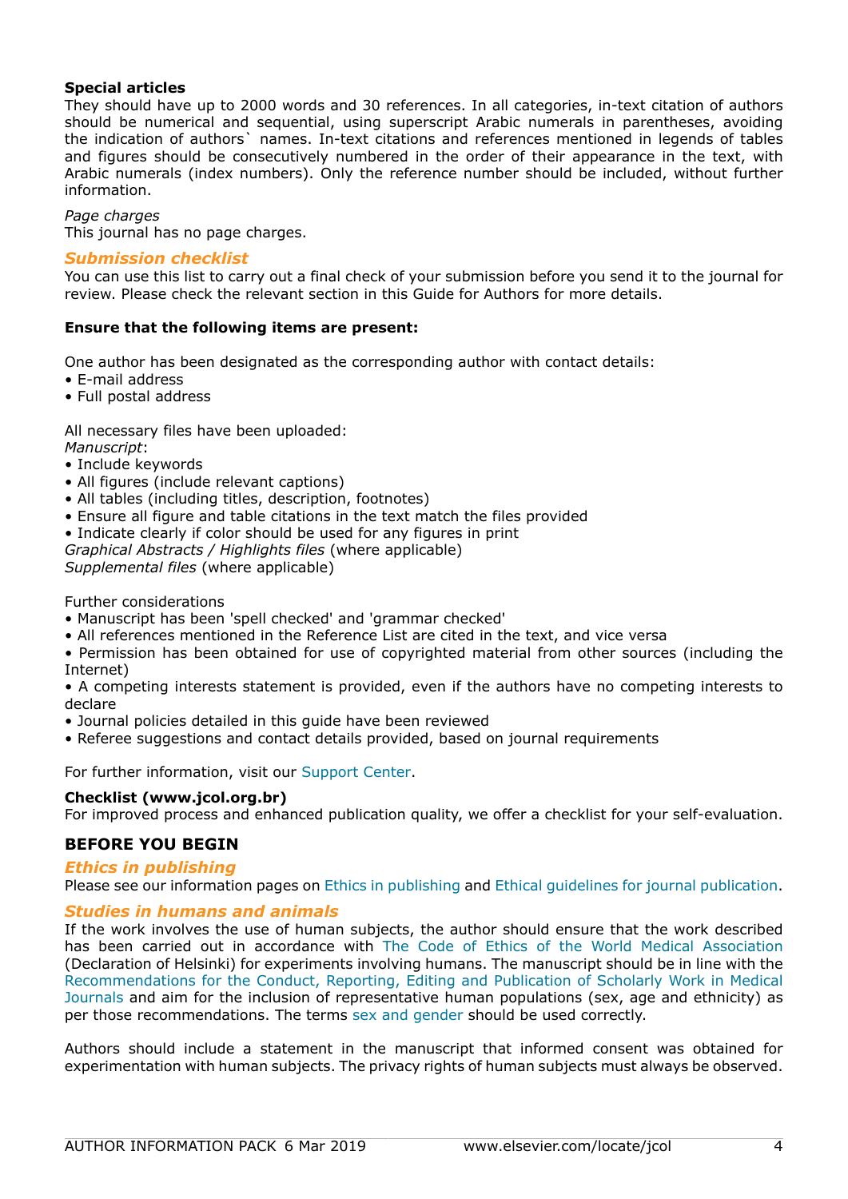### **Special articles**

They should have up to 2000 words and 30 references. In all categories, in-text citation of authors should be numerical and sequential, using superscript Arabic numerals in parentheses, avoiding the indication of authors` names. In-text citations and references mentioned in legends of tables and figures should be consecutively numbered in the order of their appearance in the text, with Arabic numerals (index numbers). Only the reference number should be included, without further information.

#### *Page charges*

This journal has no page charges.

### *Submission checklist*

You can use this list to carry out a final check of your submission before you send it to the journal for review. Please check the relevant section in this Guide for Authors for more details.

### **Ensure that the following items are present:**

One author has been designated as the corresponding author with contact details:

- E-mail address
- Full postal address

All necessary files have been uploaded:

*Manuscript*:

- Include keywords
- All figures (include relevant captions)
- All tables (including titles, description, footnotes)
- Ensure all figure and table citations in the text match the files provided
- Indicate clearly if color should be used for any figures in print
- *Graphical Abstracts / Highlights files* (where applicable)

*Supplemental files* (where applicable)

Further considerations

- Manuscript has been 'spell checked' and 'grammar checked'
- All references mentioned in the Reference List are cited in the text, and vice versa

• Permission has been obtained for use of copyrighted material from other sources (including the Internet)

• A competing interests statement is provided, even if the authors have no competing interests to declare

- Journal policies detailed in this guide have been reviewed
- Referee suggestions and contact details provided, based on journal requirements

For further information, visit our [Support Center.](http://service.elsevier.com/app/home/supporthub/publishing/)

### **Checklist (www.jcol.org.br)** For improved process and enhanced publication quality, we offer a checklist for your self-evaluation.

### **BEFORE YOU BEGIN**

### *Ethics in publishing*

Please see our information pages on [Ethics in publishing](https://www.elsevier.com/about/policies/publishing-ethics) and [Ethical guidelines for journal publication](https://www.elsevier.com/authors/journal-authors/policies-and-ethics).

### *Studies in humans and animals*

If the work involves the use of human subjects, the author should ensure that the work described has been carried out in accordance with [The Code of Ethics of the World Medical Association](https://www.wma.net/policies-post/wma-declaration-of-helsinki-ethical-principles-for-medical-research-involving-human-subjects/) (Declaration of Helsinki) for experiments involving humans. The manuscript should be in line with the [Recommendations for the Conduct, Reporting, Editing and Publication of Scholarly Work in Medical](http://www.icmje.org/recommendations/) [Journals](http://www.icmje.org/recommendations/) and aim for the inclusion of representative human populations (sex, age and ethnicity) as per those recommendations. The terms [sex and gender](http://www.who.int/gender-equity-rights/understanding/gender-definition/en/) should be used correctly.

Authors should include a statement in the manuscript that informed consent was obtained for experimentation with human subjects. The privacy rights of human subjects must always be observed.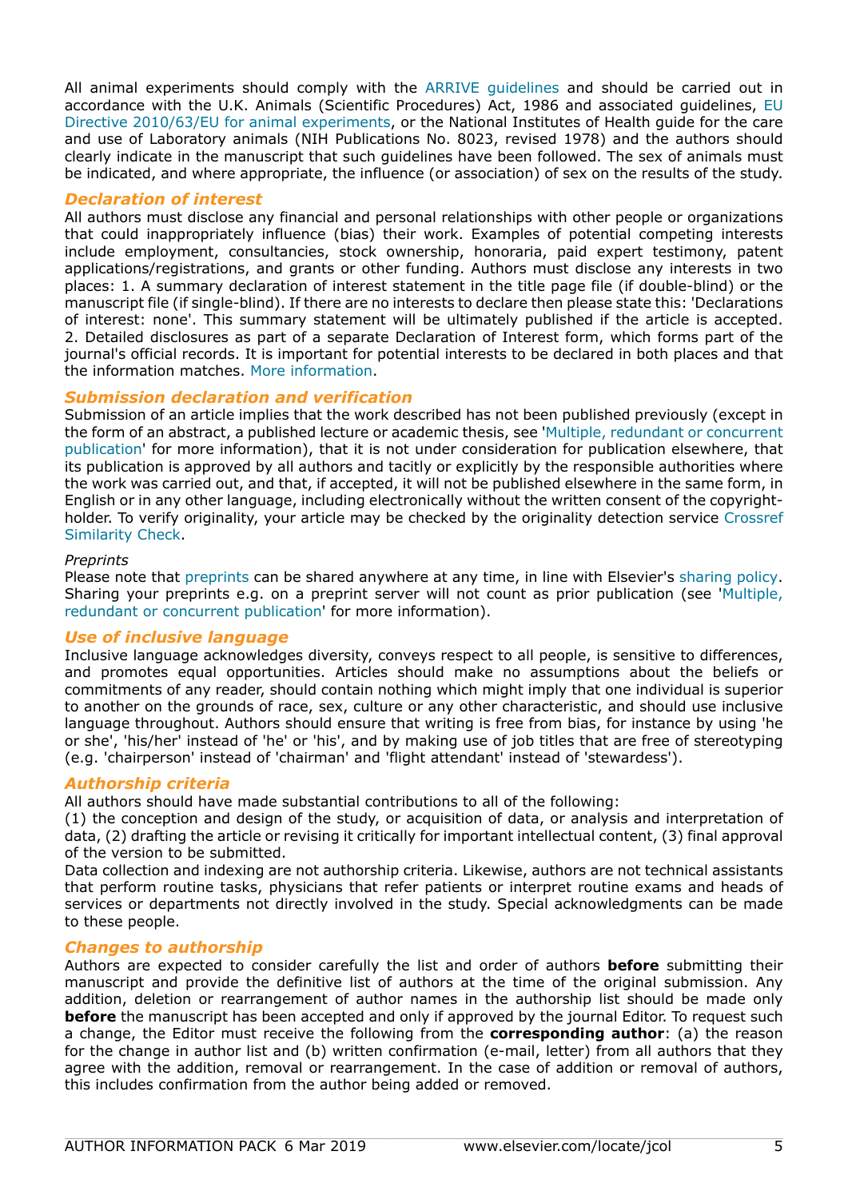All animal experiments should comply with the [ARRIVE guidelines](https://www.nc3rs.org.uk/arrive-guidelines) and should be carried out in accordance with the U.K. Animals (Scientific Procedures) Act, 1986 and associated guidelines, [EU](http://ec.europa.eu/environment/chemicals/lab_animals/legislation_en.htm) [Directive 2010/63/EU for animal experiments](http://ec.europa.eu/environment/chemicals/lab_animals/legislation_en.htm), or the National Institutes of Health guide for the care and use of Laboratory animals (NIH Publications No. 8023, revised 1978) and the authors should clearly indicate in the manuscript that such guidelines have been followed. The sex of animals must be indicated, and where appropriate, the influence (or association) of sex on the results of the study.

### *Declaration of interest*

All authors must disclose any financial and personal relationships with other people or organizations that could inappropriately influence (bias) their work. Examples of potential competing interests include employment, consultancies, stock ownership, honoraria, paid expert testimony, patent applications/registrations, and grants or other funding. Authors must disclose any interests in two places: 1. A summary declaration of interest statement in the title page file (if double-blind) or the manuscript file (if single-blind). If there are no interests to declare then please state this: 'Declarations of interest: none'. This summary statement will be ultimately published if the article is accepted. 2. Detailed disclosures as part of a separate Declaration of Interest form, which forms part of the journal's official records. It is important for potential interests to be declared in both places and that the information matches. [More information.](http://service.elsevier.com/app/answers/detail/a_id/286/supporthub/publishing)

### *Submission declaration and verification*

Submission of an article implies that the work described has not been published previously (except in the form of an abstract, a published lecture or academic thesis, see '[Multiple, redundant or concurrent](https://www.elsevier.com/authors/journal-authors/policies-and-ethics) [publication](https://www.elsevier.com/authors/journal-authors/policies-and-ethics)' for more information), that it is not under consideration for publication elsewhere, that its publication is approved by all authors and tacitly or explicitly by the responsible authorities where the work was carried out, and that, if accepted, it will not be published elsewhere in the same form, in English or in any other language, including electronically without the written consent of the copyrightholder. To verify originality, your article may be checked by the originality detection service [Crossref](https://www.elsevier.com/editors/perk/plagiarism-complaints/plagiarism-detection) [Similarity Check.](https://www.elsevier.com/editors/perk/plagiarism-complaints/plagiarism-detection)

### *Preprints*

Please note that [preprints](https://www.elsevier.com/about/policies/sharing/preprint) can be shared anywhere at any time, in line with Elsevier's [sharing policy](https://www.elsevier.com/about/policies/sharing). Sharing your preprints e.g. on a preprint server will not count as prior publication (see '[Multiple,](https://www.elsevier.com/authors/journal-authors/policies-and-ethics) [redundant or concurrent publication](https://www.elsevier.com/authors/journal-authors/policies-and-ethics)' for more information).

## *Use of inclusive language*

Inclusive language acknowledges diversity, conveys respect to all people, is sensitive to differences, and promotes equal opportunities. Articles should make no assumptions about the beliefs or commitments of any reader, should contain nothing which might imply that one individual is superior to another on the grounds of race, sex, culture or any other characteristic, and should use inclusive language throughout. Authors should ensure that writing is free from bias, for instance by using 'he or she', 'his/her' instead of 'he' or 'his', and by making use of job titles that are free of stereotyping (e.g. 'chairperson' instead of 'chairman' and 'flight attendant' instead of 'stewardess').

## *Authorship criteria*

All authors should have made substantial contributions to all of the following:

(1) the conception and design of the study, or acquisition of data, or analysis and interpretation of data, (2) drafting the article or revising it critically for important intellectual content, (3) final approval of the version to be submitted.

Data collection and indexing are not authorship criteria. Likewise, authors are not technical assistants that perform routine tasks, physicians that refer patients or interpret routine exams and heads of services or departments not directly involved in the study. Special acknowledgments can be made to these people.

## *Changes to authorship*

Authors are expected to consider carefully the list and order of authors **before** submitting their manuscript and provide the definitive list of authors at the time of the original submission. Any addition, deletion or rearrangement of author names in the authorship list should be made only **before** the manuscript has been accepted and only if approved by the journal Editor. To request such a change, the Editor must receive the following from the **corresponding author**: (a) the reason for the change in author list and (b) written confirmation (e-mail, letter) from all authors that they agree with the addition, removal or rearrangement. In the case of addition or removal of authors, this includes confirmation from the author being added or removed.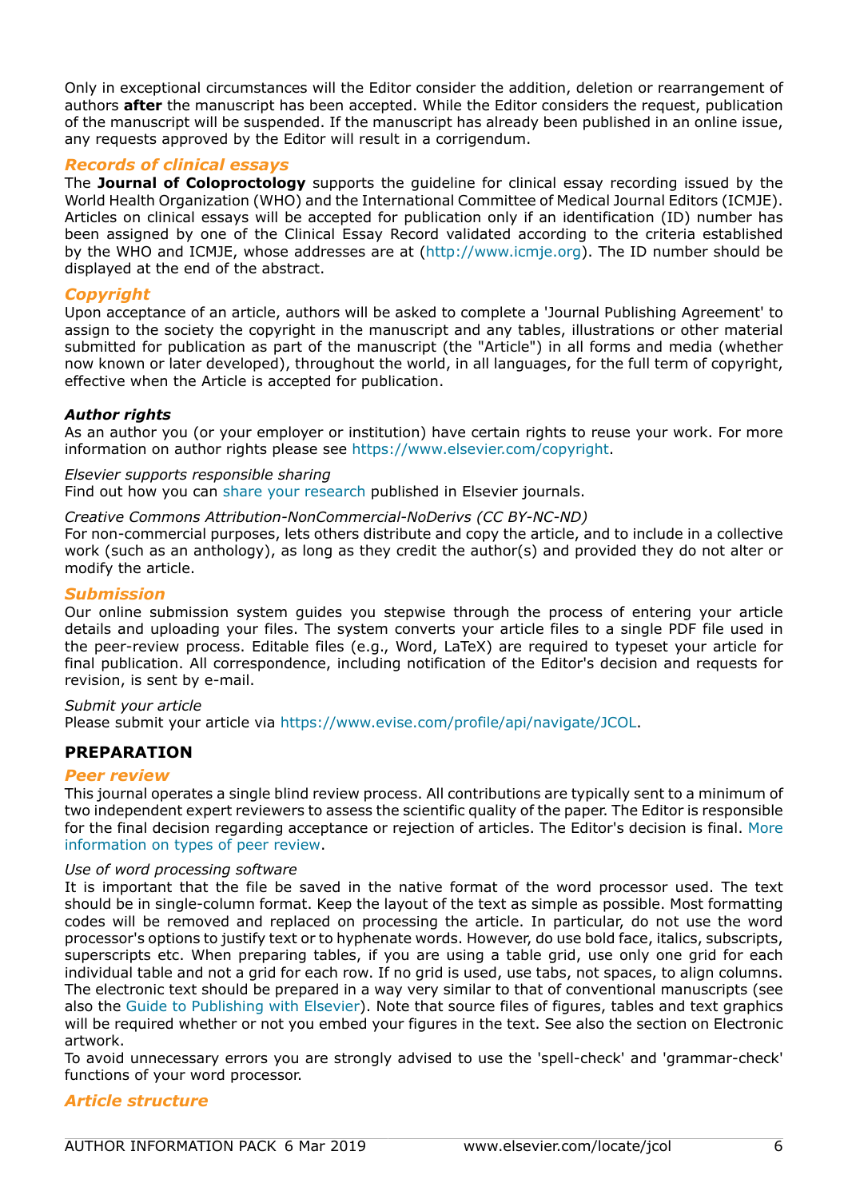Only in exceptional circumstances will the Editor consider the addition, deletion or rearrangement of authors **after** the manuscript has been accepted. While the Editor considers the request, publication of the manuscript will be suspended. If the manuscript has already been published in an online issue, any requests approved by the Editor will result in a corrigendum.

## *Records of clinical essays*

The **Journal of Coloproctology** supports the guideline for clinical essay recording issued by the World Health Organization (WHO) and the International Committee of Medical Journal Editors (ICMJE). Articles on clinical essays will be accepted for publication only if an identification (ID) number has been assigned by one of the Clinical Essay Record validated according to the criteria established by the WHO and ICMJE, whose addresses are at (http://www.icmje.org). The ID number should be displayed at the end of the abstract.

### *Copyright*

Upon acceptance of an article, authors will be asked to complete a 'Journal Publishing Agreement' to assign to the society the copyright in the manuscript and any tables, illustrations or other material submitted for publication as part of the manuscript (the "Article") in all forms and media (whether now known or later developed), throughout the world, in all languages, for the full term of copyright, effective when the Article is accepted for publication.

### *Author rights*

As an author you (or your employer or institution) have certain rights to reuse your work. For more information on author rights please see https://www.elsevier.com/copyright.

*Elsevier supports responsible sharing* Find out how you can [share your research](https://www.elsevier.com/authors/journal-authors/submit-your-paper/sharing-and-promoting-your-article) published in Elsevier journals.

### *Creative Commons Attribution-NonCommercial-NoDerivs (CC BY-NC-ND)*

For non-commercial purposes, lets others distribute and copy the article, and to include in a collective work (such as an anthology), as long as they credit the author(s) and provided they do not alter or modify the article.

### *Submission*

Our online submission system guides you stepwise through the process of entering your article details and uploading your files. The system converts your article files to a single PDF file used in the peer-review process. Editable files (e.g., Word, LaTeX) are required to typeset your article for final publication. All correspondence, including notification of the Editor's decision and requests for revision, is sent by e-mail.

*Submit your article* Please submit your article via https://www.evise.com/profile/api/navigate/JCOL.

## **PREPARATION**

### *Peer review*

This journal operates a single blind review process. All contributions are typically sent to a minimum of two independent expert reviewers to assess the scientific quality of the paper. The Editor is responsible for the final decision regarding acceptance or rejection of articles. The Editor's decision is final. [More](https://www.elsevier.com/reviewers/what-is-peer-review) [information on types of peer review](https://www.elsevier.com/reviewers/what-is-peer-review).

### *Use of word processing software*

It is important that the file be saved in the native format of the word processor used. The text should be in single-column format. Keep the layout of the text as simple as possible. Most formatting codes will be removed and replaced on processing the article. In particular, do not use the word processor's options to justify text or to hyphenate words. However, do use bold face, italics, subscripts, superscripts etc. When preparing tables, if you are using a table grid, use only one grid for each individual table and not a grid for each row. If no grid is used, use tabs, not spaces, to align columns. The electronic text should be prepared in a way very similar to that of conventional manuscripts (see also the [Guide to Publishing with Elsevier\)](https://www.elsevier.com/authors/journal-authors/submit-your-paper). Note that source files of figures, tables and text graphics will be required whether or not you embed your figures in the text. See also the section on Electronic artwork.

To avoid unnecessary errors you are strongly advised to use the 'spell-check' and 'grammar-check' functions of your word processor.

### *Article structure*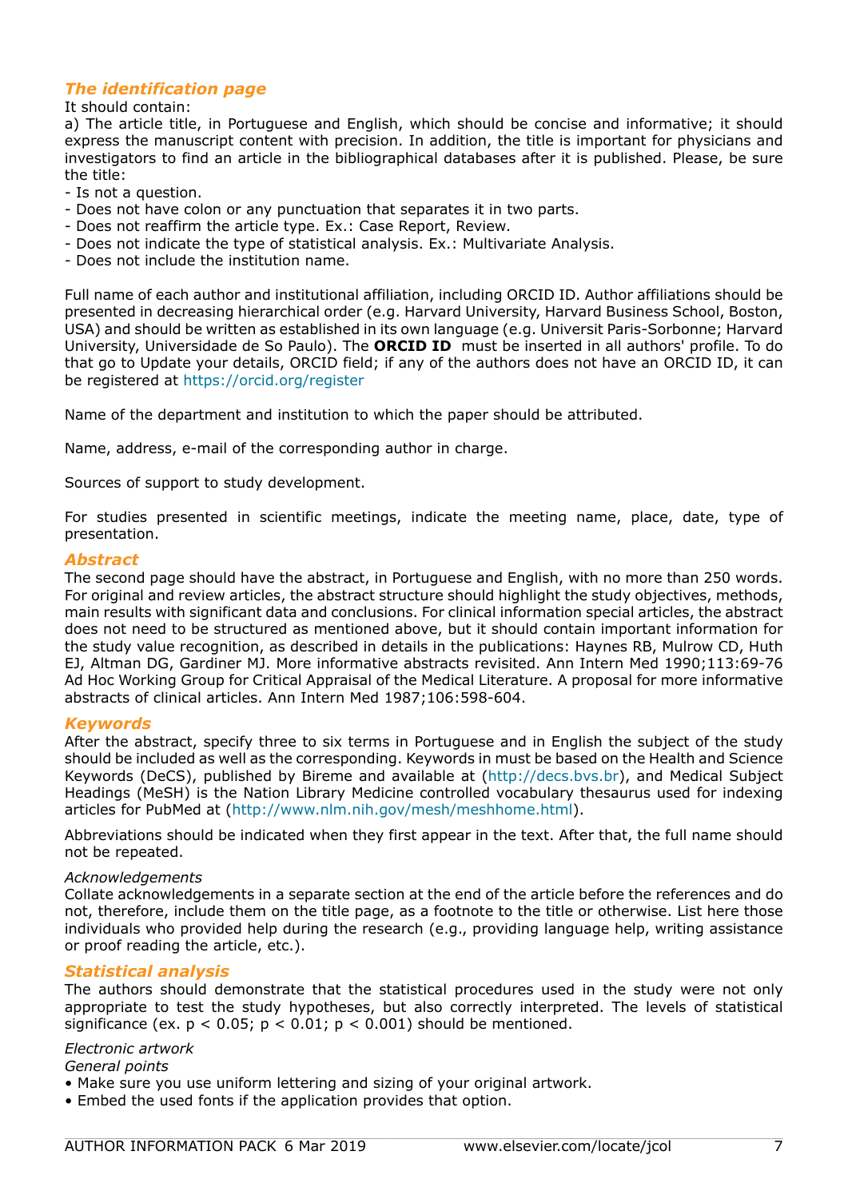## *The identification page*

It should contain:

a) The article title, in Portuguese and English, which should be concise and informative; it should express the manuscript content with precision. In addition, the title is important for physicians and investigators to find an article in the bibliographical databases after it is published. Please, be sure the title:

- Is not a question.
- Does not have colon or any punctuation that separates it in two parts.
- Does not reaffirm the article type. Ex.: Case Report, Review.
- Does not indicate the type of statistical analysis. Ex.: Multivariate Analysis.
- Does not include the institution name.

Full name of each author and institutional affiliation, including ORCID ID. Author affiliations should be presented in decreasing hierarchical order (e.g. Harvard University, Harvard Business School, Boston, USA) and should be written as established in its own language (e.g. Universit Paris-Sorbonne; Harvard University, Universidade de So Paulo). The **ORCID ID** must be inserted in all authors' profile. To do that go to Update your details, ORCID field; if any of the authors does not have an ORCID ID, it can be registered at https://orcid.org/register

Name of the department and institution to which the paper should be attributed.

Name, address, e-mail of the corresponding author in charge.

Sources of support to study development.

For studies presented in scientific meetings, indicate the meeting name, place, date, type of presentation.

#### *Abstract*

The second page should have the abstract, in Portuguese and English, with no more than 250 words. For original and review articles, the abstract structure should highlight the study objectives, methods, main results with significant data and conclusions. For clinical information special articles, the abstract does not need to be structured as mentioned above, but it should contain important information for the study value recognition, as described in details in the publications: Haynes RB, Mulrow CD, Huth EJ, Altman DG, Gardiner MJ. More informative abstracts revisited. Ann Intern Med 1990;113:69-76 Ad Hoc Working Group for Critical Appraisal of the Medical Literature. A proposal for more informative abstracts of clinical articles. Ann Intern Med 1987;106:598-604.

### *Keywords*

After the abstract, specify three to six terms in Portuguese and in English the subject of the study should be included as well as the corresponding. Keywords in must be based on the Health and Science Keywords (DeCS), published by Bireme and available at (http://decs.bvs.br), and Medical Subject Headings (MeSH) is the Nation Library Medicine controlled vocabulary thesaurus used for indexing articles for PubMed at (http://www.nlm.nih.gov/mesh/meshhome.html).

Abbreviations should be indicated when they first appear in the text. After that, the full name should not be repeated.

#### *Acknowledgements*

Collate acknowledgements in a separate section at the end of the article before the references and do not, therefore, include them on the title page, as a footnote to the title or otherwise. List here those individuals who provided help during the research (e.g., providing language help, writing assistance or proof reading the article, etc.).

### *Statistical analysis*

The authors should demonstrate that the statistical procedures used in the study were not only appropriate to test the study hypotheses, but also correctly interpreted. The levels of statistical significance (ex.  $p < 0.05$ ;  $p < 0.01$ ;  $p < 0.001$ ) should be mentioned.

### *Electronic artwork*

*General points*

- Make sure you use uniform lettering and sizing of your original artwork.
- Embed the used fonts if the application provides that option.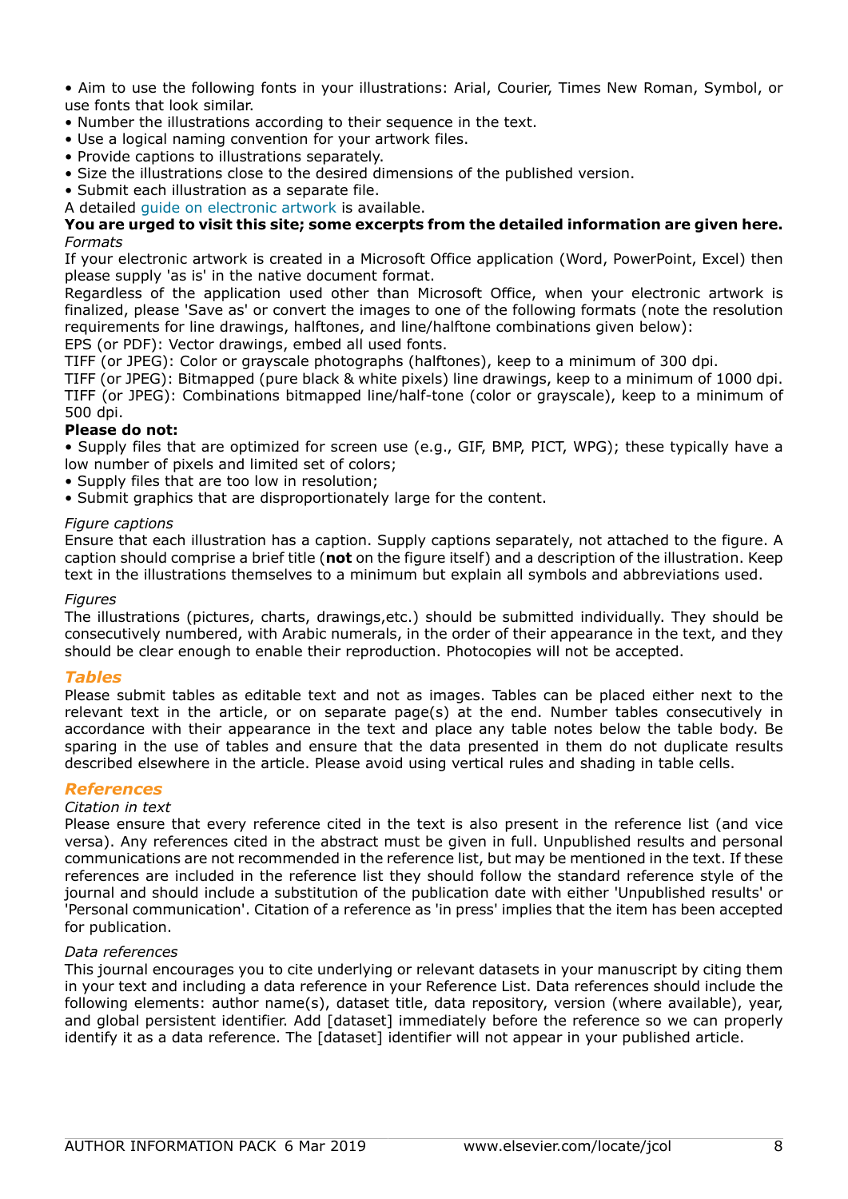• Aim to use the following fonts in your illustrations: Arial, Courier, Times New Roman, Symbol, or use fonts that look similar.

- Number the illustrations according to their sequence in the text.
- Use a logical naming convention for your artwork files.
- Provide captions to illustrations separately.
- Size the illustrations close to the desired dimensions of the published version.
- Submit each illustration as a separate file.
- A detailed [guide on electronic artwork](https://www.elsevier.com/authors/author-schemas/artwork-and-media-instructions) is available.

### **You are urged to visit this site; some excerpts from the detailed information are given here.** *Formats*

If your electronic artwork is created in a Microsoft Office application (Word, PowerPoint, Excel) then please supply 'as is' in the native document format.

Regardless of the application used other than Microsoft Office, when your electronic artwork is finalized, please 'Save as' or convert the images to one of the following formats (note the resolution requirements for line drawings, halftones, and line/halftone combinations given below):

EPS (or PDF): Vector drawings, embed all used fonts.

TIFF (or JPEG): Color or grayscale photographs (halftones), keep to a minimum of 300 dpi.

TIFF (or JPEG): Bitmapped (pure black & white pixels) line drawings, keep to a minimum of 1000 dpi. TIFF (or JPEG): Combinations bitmapped line/half-tone (color or grayscale), keep to a minimum of 500 dpi.

### **Please do not:**

• Supply files that are optimized for screen use (e.g., GIF, BMP, PICT, WPG); these typically have a low number of pixels and limited set of colors;

- Supply files that are too low in resolution;
- Submit graphics that are disproportionately large for the content.

### *Figure captions*

Ensure that each illustration has a caption. Supply captions separately, not attached to the figure. A caption should comprise a brief title (**not** on the figure itself) and a description of the illustration. Keep text in the illustrations themselves to a minimum but explain all symbols and abbreviations used.

### *Figures*

The illustrations (pictures, charts, drawings,etc.) should be submitted individually. They should be consecutively numbered, with Arabic numerals, in the order of their appearance in the text, and they should be clear enough to enable their reproduction. Photocopies will not be accepted.

### *Tables*

Please submit tables as editable text and not as images. Tables can be placed either next to the relevant text in the article, or on separate page(s) at the end. Number tables consecutively in accordance with their appearance in the text and place any table notes below the table body. Be sparing in the use of tables and ensure that the data presented in them do not duplicate results described elsewhere in the article. Please avoid using vertical rules and shading in table cells.

### *References*

### *Citation in text*

Please ensure that every reference cited in the text is also present in the reference list (and vice versa). Any references cited in the abstract must be given in full. Unpublished results and personal communications are not recommended in the reference list, but may be mentioned in the text. If these references are included in the reference list they should follow the standard reference style of the journal and should include a substitution of the publication date with either 'Unpublished results' or 'Personal communication'. Citation of a reference as 'in press' implies that the item has been accepted for publication.

### *Data references*

This journal encourages you to cite underlying or relevant datasets in your manuscript by citing them in your text and including a data reference in your Reference List. Data references should include the following elements: author name(s), dataset title, data repository, version (where available), year, and global persistent identifier. Add [dataset] immediately before the reference so we can properly identify it as a data reference. The [dataset] identifier will not appear in your published article.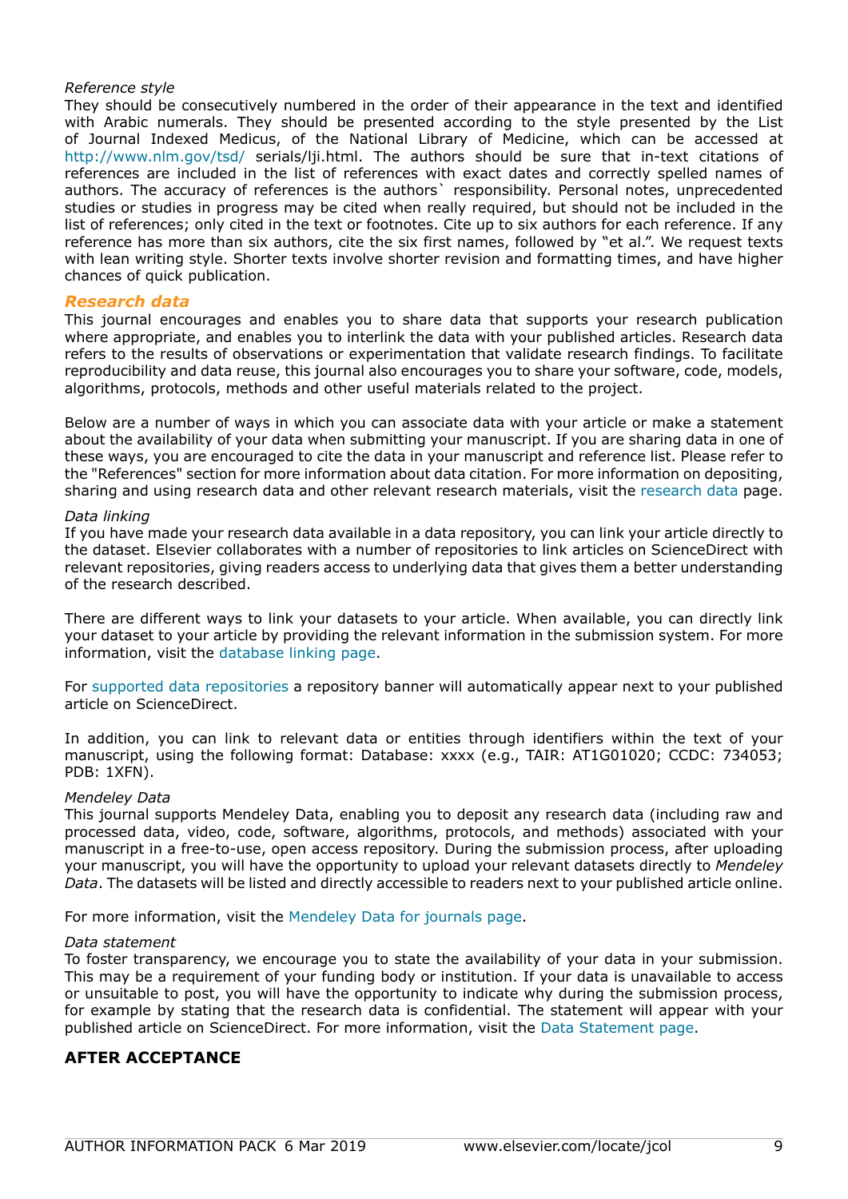### *Reference style*

They should be consecutively numbered in the order of their appearance in the text and identified with Arabic numerals. They should be presented according to the style presented by the List of Journal Indexed Medicus, of the National Library of Medicine, which can be accessed at http://www.nlm.gov/tsd/ serials/lji.html. The authors should be sure that in-text citations of references are included in the list of references with exact dates and correctly spelled names of authors. The accuracy of references is the authors` responsibility. Personal notes, unprecedented studies or studies in progress may be cited when really required, but should not be included in the list of references; only cited in the text or footnotes. Cite up to six authors for each reference. If any reference has more than six authors, cite the six first names, followed by "et al.". We request texts with lean writing style. Shorter texts involve shorter revision and formatting times, and have higher chances of quick publication.

#### *Research data*

This journal encourages and enables you to share data that supports your research publication where appropriate, and enables you to interlink the data with your published articles. Research data refers to the results of observations or experimentation that validate research findings. To facilitate reproducibility and data reuse, this journal also encourages you to share your software, code, models, algorithms, protocols, methods and other useful materials related to the project.

Below are a number of ways in which you can associate data with your article or make a statement about the availability of your data when submitting your manuscript. If you are sharing data in one of these ways, you are encouraged to cite the data in your manuscript and reference list. Please refer to the "References" section for more information about data citation. For more information on depositing, sharing and using research data and other relevant research materials, visit the [research data](https://www.elsevier.com/authors/author-services/research-data) page.

#### *Data linking*

If you have made your research data available in a data repository, you can link your article directly to the dataset. Elsevier collaborates with a number of repositories to link articles on ScienceDirect with relevant repositories, giving readers access to underlying data that gives them a better understanding of the research described.

There are different ways to link your datasets to your article. When available, you can directly link your dataset to your article by providing the relevant information in the submission system. For more information, visit the [database linking page.](https://www.elsevier.com/authors/author-services/research-data/data-base-linking)

For [supported data repositories](https://www.elsevier.com/authors/author-services/research-data/data-base-linking#repositories) a repository banner will automatically appear next to your published article on ScienceDirect.

In addition, you can link to relevant data or entities through identifiers within the text of your manuscript, using the following format: Database: xxxx (e.g., TAIR: AT1G01020; CCDC: 734053; PDB: 1XFN).

#### *Mendeley Data*

This journal supports Mendeley Data, enabling you to deposit any research data (including raw and processed data, video, code, software, algorithms, protocols, and methods) associated with your manuscript in a free-to-use, open access repository. During the submission process, after uploading your manuscript, you will have the opportunity to upload your relevant datasets directly to *Mendeley Data*. The datasets will be listed and directly accessible to readers next to your published article online.

For more information, visit the [Mendeley Data for journals page](https://www.elsevier.com/books-and-journals/enrichments/mendeley-data-for-journals).

#### *Data statement*

To foster transparency, we encourage you to state the availability of your data in your submission. This may be a requirement of your funding body or institution. If your data is unavailable to access or unsuitable to post, you will have the opportunity to indicate why during the submission process, for example by stating that the research data is confidential. The statement will appear with your published article on ScienceDirect. For more information, visit the [Data Statement page](https://www.elsevier.com/authors/author-services/research-data/data-statement).

## **AFTER ACCEPTANCE**